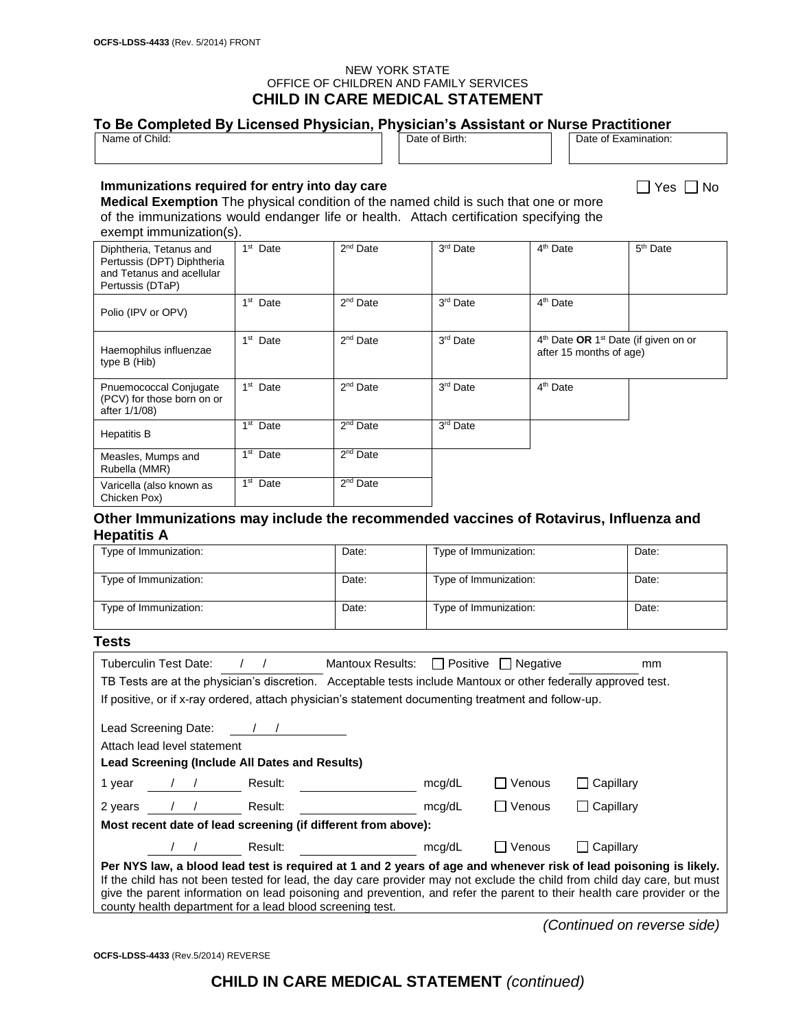#### NEW YORK STATE OFFICE OF CHILDREN AND FAMILY SERVICES **CHILD IN CARE MEDICAL STATEMENT**

| Name of Child:                                                                                                                                                                                                                                                      |                      |                      | Date of Birth:        |                                                                                         | Date of Examination: |
|---------------------------------------------------------------------------------------------------------------------------------------------------------------------------------------------------------------------------------------------------------------------|----------------------|----------------------|-----------------------|-----------------------------------------------------------------------------------------|----------------------|
| Immunizations required for entry into day care<br><b>Medical Exemption</b> The physical condition of the named child is such that one or more<br>of the immunizations would endanger life or health. Attach certification specifying the<br>exempt immunization(s). |                      |                      |                       |                                                                                         | Yes I I No           |
| Diphtheria, Tetanus and<br>Pertussis (DPT) Diphtheria<br>and Tetanus and acellular<br>Pertussis (DTaP)                                                                                                                                                              | $1st$ Date           | 2 <sup>nd</sup> Date | 3 <sup>rd</sup> Date  | 4 <sup>th</sup> Date                                                                    | $5th$ Date           |
| Polio (IPV or OPV)                                                                                                                                                                                                                                                  | $1st$ Date           | $2nd$ Date           | 3 <sup>rd</sup> Date  | 4 <sup>th</sup> Date                                                                    |                      |
| Haemophilus influenzae<br>type B (Hib)                                                                                                                                                                                                                              | $1st$ Date           | $2nd$ Date           | 3 <sup>rd</sup> Date  | 4 <sup>th</sup> Date OR 1 <sup>st</sup> Date (if given on or<br>after 15 months of age) |                      |
| Pnuemococcal Conjugate<br>(PCV) for those born on or<br>after 1/1/08)                                                                                                                                                                                               | 1 <sup>st</sup> Date | $2nd$ Date           | 3 <sup>rd</sup> Date  | 4 <sup>th</sup> Date                                                                    |                      |
| <b>Hepatitis B</b>                                                                                                                                                                                                                                                  | $1st$ Date           | $2nd$ Date           | 3 <sup>rd</sup> Date  |                                                                                         |                      |
| Measles, Mumps and<br>Rubella (MMR)                                                                                                                                                                                                                                 | $1st$ Date           | $2nd$ Date           |                       |                                                                                         |                      |
| Varicella (also known as<br>Chicken Pox)                                                                                                                                                                                                                            | 1 <sup>st</sup> Date | 2 <sup>nd</sup> Date |                       |                                                                                         |                      |
| Other Immunizations may include the recommended vaccines of Rotavirus, Influenza and<br><b>Hepatitis A</b>                                                                                                                                                          |                      |                      |                       |                                                                                         |                      |
| Type of Immunization:                                                                                                                                                                                                                                               |                      | Date:                | Type of Immunization: |                                                                                         | Date:                |

| Type of Immunization: | Date: | Type of Immunization: | Date: |
|-----------------------|-------|-----------------------|-------|
| Type of Immunization: | Date: | Type of Immunization: | Date: |
| Type of Immunization: | Date: | Type of Immunization: | Date: |

### **Tests**

| Tuberculin Test Date:                                                                                                    | Mantoux Results:                                                                                               |        | <b>Positive</b> Negative | mm        |
|--------------------------------------------------------------------------------------------------------------------------|----------------------------------------------------------------------------------------------------------------|--------|--------------------------|-----------|
|                                                                                                                          | TB Tests are at the physician's discretion. Acceptable tests include Mantoux or other federally approved test. |        |                          |           |
| If positive, or if x-ray ordered, attach physician's statement documenting treatment and follow-up.                      |                                                                                                                |        |                          |           |
| Lead Screening Date:<br>Attach lead level statement<br>Lead Screening (Include All Dates and Results)                    |                                                                                                                |        |                          |           |
| 1 year<br>Result:                                                                                                        |                                                                                                                | mcg/dL | l Venous                 | Capillary |
| Result:<br>2 years                                                                                                       |                                                                                                                | mcg/dL | ∏ Venous                 | Capillary |
| Most recent date of lead screening (if different from above):                                                            |                                                                                                                |        |                          |           |
| Result:                                                                                                                  |                                                                                                                | mcg/dL | $\Box$ Venous            | Capillary |
| Per NYS law, a blood lead test is required at 1 and 2 years of age and whenever risk of lead poisoning is likely.        |                                                                                                                |        |                          |           |
| If the child has not been tested for lead, the day care provider may not exclude the child from child day care, but must |                                                                                                                |        |                          |           |
| give the parent information on lead poisoning and prevention, and refer the parent to their health care provider or the  |                                                                                                                |        |                          |           |
| county health department for a lead blood screening test.                                                                |                                                                                                                |        |                          |           |

*(Continued on reverse side)*

**OCFS-LDSS-4433** (Rev.5/2014) REVERSE

**CHILD IN CARE MEDICAL STATEMENT** *(continued)*